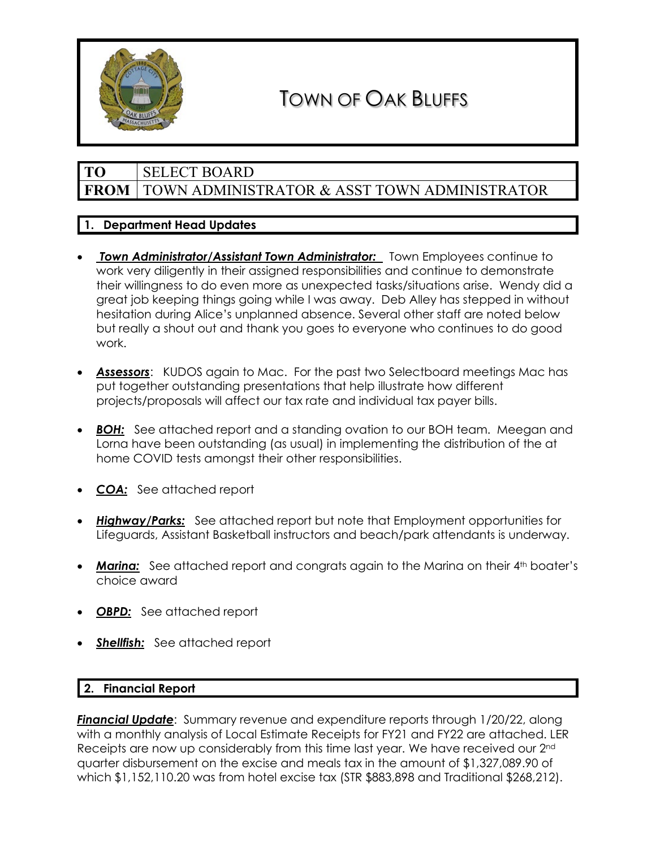

# TOWN OF OAK BLUFFS

## **TO** SELECT BOARD **FROM** TOWN ADMINISTRATOR & ASST TOWN ADMINISTRATOR

## **1. Department Head Updates**

- *Town Administrator/Assistant Town Administrator:* Town Employees continue to work very diligently in their assigned responsibilities and continue to demonstrate their willingness to do even more as unexpected tasks/situations arise. Wendy did a great job keeping things going while I was away. Deb Alley has stepped in without hesitation during Alice's unplanned absence. Several other staff are noted below but really a shout out and thank you goes to everyone who continues to do good work.
- *Assessors*: KUDOS again to Mac. For the past two Selectboard meetings Mac has put together outstanding presentations that help illustrate how different projects/proposals will affect our tax rate and individual tax payer bills.
- **BOH:** See attached report and a standing ovation to our BOH team. Meegan and Lorna have been outstanding (as usual) in implementing the distribution of the at home COVID tests amongst their other responsibilities.
- *COA:* See attached report
- *Highway/Parks:* See attached report but note that Employment opportunities for Lifeguards, Assistant Basketball instructors and beach/park attendants is underway.
- **Marina:** See attached report and congrats again to the Marina on their 4<sup>th</sup> boater's choice award
- **OBPD:** See attached report
- **Shellfish:** See attached report

## **2. Financial Report**

*Financial Update*: Summary revenue and expenditure reports through 1/20/22, along with a monthly analysis of Local Estimate Receipts for FY21 and FY22 are attached. LER Receipts are now up considerably from this time last year. We have received our 2<sup>nd</sup> quarter disbursement on the excise and meals tax in the amount of \$1,327,089.90 of which \$1,152,110.20 was from hotel excise tax (STR \$883,898 and Traditional \$268,212).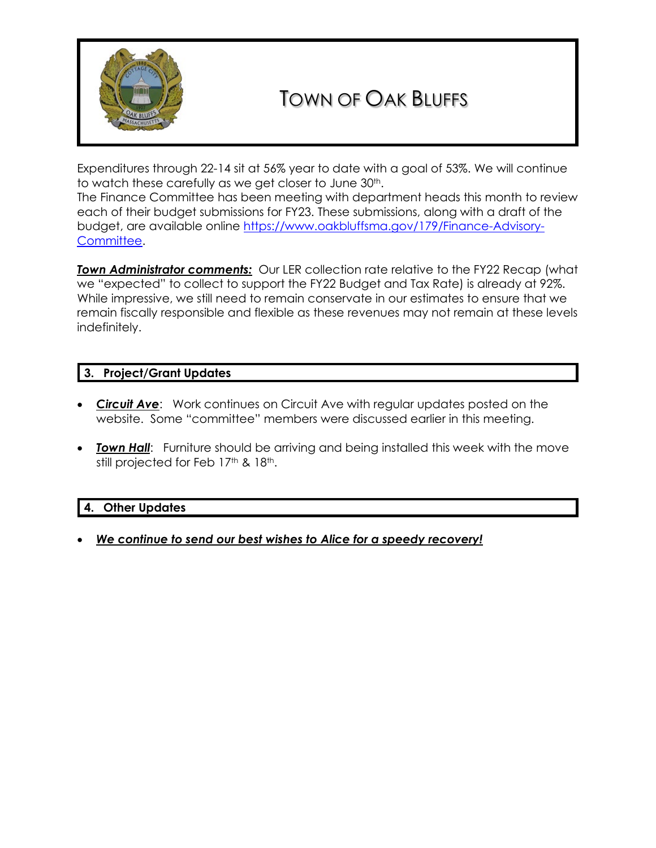

# TOWN OF OAK BLUFFS

Expenditures through 22-14 sit at 56% year to date with a goal of 53%. We will continue to watch these carefully as we get closer to June 30<sup>th</sup>.

The Finance Committee has been meeting with department heads this month to review each of their budget submissions for FY23. These submissions, along with a draft of the budget, are available online [https://www.oakbluffsma.gov/179/Finance-Advisory-](https://www.oakbluffsma.gov/179/Finance-Advisory-Committee)[Committee.](https://www.oakbluffsma.gov/179/Finance-Advisory-Committee)

**Town Administrator comments:** Our LER collection rate relative to the FY22 Recap (what we "expected" to collect to support the FY22 Budget and Tax Rate) is already at 92%. While impressive, we still need to remain conservate in our estimates to ensure that we remain fiscally responsible and flexible as these revenues may not remain at these levels indefinitely.

## **3. Project/Grant Updates**

- *Circuit Ave*: Work continues on Circuit Ave with regular updates posted on the website. Some "committee" members were discussed earlier in this meeting.
- *Town Hall*: Furniture should be arriving and being installed this week with the move still projected for Feb 17<sup>th</sup> & 18<sup>th</sup>.

## **4. Other Updates**

• *We continue to send our best wishes to Alice for a speedy recovery!*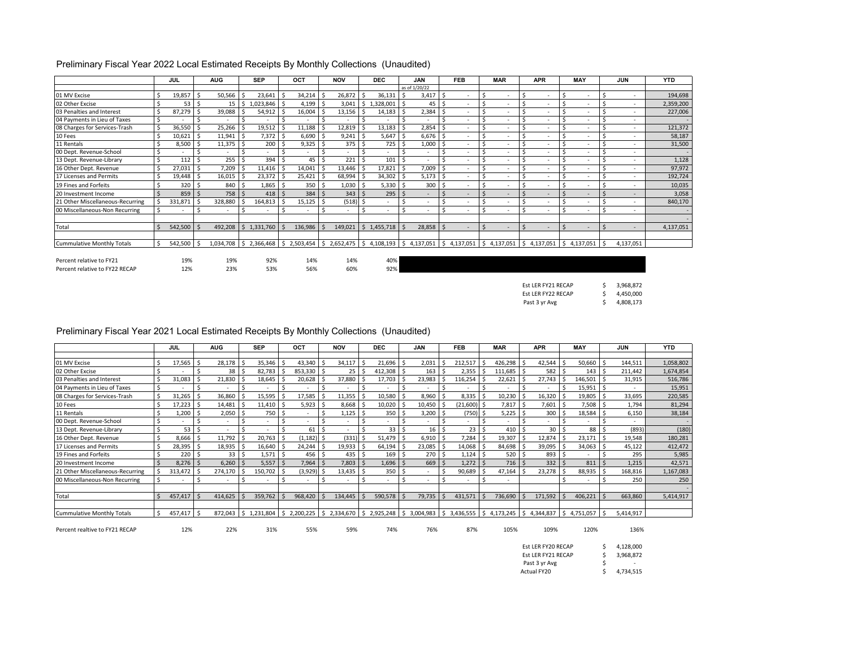| Preliminary Fiscal Year 2022 Local Estimated Receipts By Monthly Collections (Unaudited) |
|------------------------------------------------------------------------------------------|
|------------------------------------------------------------------------------------------|

|                                   |    | <b>JUL</b> | <b>AUG</b>               |     | <b>SEP</b> |    | OCT     | <b>NOV</b>               |      | <b>DEC</b>                                                                                           |               | <b>JAN</b>    |     | <b>FEB</b>               |               | <b>MAR</b>               |             | <b>APR</b>     | <b>MAY</b>      | <b>JUN</b>               | <b>YTD</b> |
|-----------------------------------|----|------------|--------------------------|-----|------------|----|---------|--------------------------|------|------------------------------------------------------------------------------------------------------|---------------|---------------|-----|--------------------------|---------------|--------------------------|-------------|----------------|-----------------|--------------------------|------------|
|                                   |    |            |                          |     |            |    |         |                          |      |                                                                                                      |               | as of 1/20/22 |     |                          |               |                          |             |                |                 |                          |            |
| 01 MV Excise                      |    | 19,857     | 50,566                   |     | 23,641     |    | 34,214  | 26,872                   |      | 36,131                                                                                               |               | 3,417         |     | $\overline{\phantom{a}}$ |               | $\overline{\phantom{a}}$ |             |                |                 | $\sim$                   | 194,698    |
| 02 Other Excise                   |    | 53         | 15                       | - Ś | 1,023,846  |    | 4,199   | 3,041                    | I \$ | ,328,001                                                                                             | S.            | 45            | l S | $\overline{\phantom{a}}$ |               | $\overline{\phantom{a}}$ |             |                |                 | ٠                        | 2,359,200  |
| 03 Penalties and Interest         |    | 87,279     | 39,088                   |     | 54,912     |    | 16,004  | 13,156                   |      | 14,183                                                                                               |               | 2,384         |     | $\overline{\phantom{a}}$ |               | $\overline{\phantom{a}}$ |             | $\sim$         |                 | $\sim$                   | 227,006    |
| 04 Payments in Lieu of Taxes      |    | ٠          | $\overline{\phantom{a}}$ |     |            |    |         | $\overline{\phantom{a}}$ |      | $\overline{\phantom{a}}$                                                                             |               | ٠             |     | $\overline{\phantom{a}}$ |               | $\overline{\phantom{a}}$ |             | $\sim$         |                 | $\overline{\phantom{a}}$ | $\sim$     |
| 08 Charges for Services-Trash     |    | 36,550     | 25,266                   |     | 19,512     |    | 11,188  | 12,819                   |      | 13,183                                                                                               |               | 2,854         |     |                          |               | $\overline{\phantom{a}}$ |             |                |                 | $\overline{\phantom{a}}$ | 121,372    |
| 10 Fees                           |    | 10,621     | 11,941                   | - Ś | 7,372      |    | 6,690   | 9,241                    |      | 5,647                                                                                                | Ŝ.            | $6,676$ \$    |     | $\overline{\phantom{a}}$ |               | $\overline{\phantom{a}}$ |             |                |                 | ٠                        | 58,187     |
| 11 Rentals                        |    | 8,500      | 11,375                   | - 9 | 200        |    | 9,325   | $375$ \$                 |      | 725                                                                                                  |               | 1,000         | l S | $\overline{\phantom{a}}$ |               | $\overline{\phantom{a}}$ |             | $\sim$         |                 | ٠                        | 31,500     |
| 00 Dept. Revenue-School           |    | ٠          | ۰                        |     |            |    |         |                          |      |                                                                                                      |               | ٠             |     |                          |               | $\overline{\phantom{a}}$ |             |                |                 | $\overline{\phantom{a}}$ |            |
| 13 Dept. Revenue-Library          |    | 112        | 255                      |     | 394        |    | 45      | 221                      |      | 101                                                                                                  |               | ۰             |     | $\overline{\phantom{a}}$ |               | $\sim$                   |             | $\sim$         |                 | $\overline{\phantom{a}}$ | 1,128      |
| 16 Other Dept. Revenue            |    | 27,031     | 7,209                    |     | 11,416     |    | 14,041  | 13,446                   |      | 17,821                                                                                               | Ś             | 7,009         |     | $\overline{\phantom{a}}$ |               | $\sim$                   |             |                |                 | $\overline{\phantom{a}}$ | 97,972     |
| 17 Licenses and Permits           |    | 19,448     | 16,015                   |     | 23,372     |    | 25,421  | 68,994                   |      | 34,302                                                                                               | .S            | 5,173         |     |                          |               | $\overline{\phantom{a}}$ |             |                |                 | $\overline{\phantom{a}}$ | 192,724    |
| 19 Fines and Forfeits             |    | 320        | 840                      | - 5 | 1,865      | -S | 350     | 1,030                    | - 5  | 5,330                                                                                                | Ŝ.            | 300           |     |                          |               | $\overline{\phantom{a}}$ |             |                |                 | $\sim$                   | 10,035     |
| 20 Investment Income              |    | 859        | 758 \$                   |     | 418        |    | 384     | $343 \quad$              |      | 295                                                                                                  | <sup>\$</sup> | ۰             |     | ۰                        |               | $\overline{a}$           |             |                |                 | $\overline{\phantom{a}}$ | 3,058      |
| 21 Other Miscellaneous-Recurring  |    | 331,871    | 328,880                  |     | 164,813    |    | 15,125  | $(518)$ \$               |      | $\sim$                                                                                               |               |               |     | $\overline{\phantom{a}}$ |               | $\overline{\phantom{a}}$ |             |                |                 | $\sim$                   | 840,170    |
| 00 Miscellaneous-Non Recurring    |    | ٠          | $\overline{\phantom{a}}$ |     |            |    |         | $\sim$                   |      | $\sim$                                                                                               |               | ۰             |     | $\overline{\phantom{a}}$ |               | $\sim$                   |             |                |                 | ٠                        |            |
|                                   |    |            |                          |     |            |    |         |                          |      |                                                                                                      |               |               |     |                          |               |                          |             |                |                 |                          |            |
| Total                             |    | 542,500    | 492,208                  | S.  | 1,331,760  |    | 136,986 | 149,021                  |      | \$1,455,718                                                                                          | S.            | 28,858        |     | $\overline{a}$           | <sup>\$</sup> | $\sim$                   | $\varsigma$ | $\overline{a}$ |                 | $\overline{\phantom{a}}$ | 4,137,051  |
|                                   |    |            |                          |     |            |    |         |                          |      |                                                                                                      |               |               |     |                          |               |                          |             |                |                 |                          |            |
| <b>Cummulative Monthly Totals</b> | Ŝ. | 542,500    |                          |     |            |    |         |                          |      | 1,034,708 \$ 2,366,468 \$ 2,503,454 \$ 2,652,475 \$ 4,108,193 \$ 4,137,051 \$ 4,137,051 \$ 4,137,051 |               |               |     |                          |               |                          |             | \$4,137,051    | $54,137,051$ \$ | 4,137,051                |            |

Percent relative to FY21 19% 19% 92% 14% 14% 40% 38% 20% -1% -5% -13% 0% Percent relative to FY22 RECAP

\$ 3,968,872 \$ 4,450,000 \$ 4,808,173 Est LER FY21 RECAP Est LER FY22 RECAP Past 3 yr Avg

| Preliminary Fiscal Year 2021 Local Estimated Receipts By Monthly Collections (Unaudited) |  |  |
|------------------------------------------------------------------------------------------|--|--|
|------------------------------------------------------------------------------------------|--|--|

|                                   |   | JUL     | <b>AUG</b>               | <b>SEP</b>      |    | OCT       | <b>NOV</b>               |     | <b>DEC</b>       |     | <b>JAN</b> | <b>FEB</b>                                                                           | <b>MAR</b> | <b>APR</b> |    | <b>MAY</b> |     | <b>JUN</b> | <b>YTD</b> |
|-----------------------------------|---|---------|--------------------------|-----------------|----|-----------|--------------------------|-----|------------------|-----|------------|--------------------------------------------------------------------------------------|------------|------------|----|------------|-----|------------|------------|
|                                   |   |         |                          |                 |    |           |                          |     |                  |     |            |                                                                                      |            |            |    |            |     |            |            |
| 01 MV Excise                      |   | 17,565  | 28,178                   | 35,346          |    | 43,340    | 34,117                   |     | 21,696           |     | 2,031      | 212,517                                                                              | 426,298    | 42,544     |    | 50,660     |     | 144,511    | 1,058,802  |
| 02 Other Excise                   |   |         | 38                       | 82,783          |    | 853,330   | 25                       | -5  | 412,308          |     | 163        | 2,355                                                                                | 111,685    | 582        |    | 143        |     | 211,442    | 1,674,854  |
| 03 Penalties and Interest         |   | 31,083  | 21,830                   | 18,645          |    | 20,628    | 37,880                   |     | 17,703           |     | 23,983     | 116,254                                                                              | 22,621     | 27,743     |    | 146,501    |     | 31,915     | 516,786    |
| 04 Payments in Lieu of Taxes      | Ś |         |                          |                 |    |           | $\overline{\phantom{a}}$ |     |                  |     |            |                                                                                      | ٠          |            |    | 15,951     |     | $\sim$     | 15,951     |
| 08 Charges for Services-Trash     | Ś | 31,265  | 36,860                   | 15,595          |    | 17,585    | 11,355                   |     | 10,580           |     | 8,960      | 8,335                                                                                | 10,230     | 16,320     |    | 19,805     |     | 33,695     | 220,585    |
| 10 Fees                           |   | 17,223  | 14,481                   | 11,410          |    | 5,923     | 8,668                    | - 5 | 10,020           |     | 10,450     | (21,600)                                                                             | 7,817      | 7,601      |    | 7,508      |     | 1,794      | 81,294     |
| 11 Rentals                        |   | 1,200   | 2,050                    | 750             | -S |           | 1,125                    |     | 350 <sub>5</sub> |     | 3,200      | $(750)$ \$                                                                           | 5,225      | 300        |    | 18,584     |     | 6,150      | 38,184     |
| 00 Dept. Revenue-School           |   |         |                          |                 |    |           |                          |     |                  | -\$ |            |                                                                                      |            |            |    |            |     | $\sim$     |            |
| 13 Dept. Revenue-Library          |   | 53      |                          |                 |    | 61        |                          |     | 33               | ı s | 16         | 23                                                                                   | 410        | 30         |    | 88         |     | (893)      | (180)      |
| 16 Other Dept. Revenue            |   | 8,666   | 11,792                   | 20,763          |    | (1, 182)  | (331)                    |     | 51,479           |     | 6,910      | 7,284                                                                                | 19,307     | 12,874     |    | 23,171     |     | 19,548     | 180,281    |
| 17 Licenses and Permits           |   | 28,395  | 18,935                   | 16,640          |    | 24,244    | 19,933                   |     | 64,194           |     | 23,085     | 14,068                                                                               | 84,698     | 39,095     |    | 34,063     |     | 45,122     | 412,472    |
| 19 Fines and Forfeits             |   | 220     | 33                       | 1,571           |    | 456       | 435                      |     | 169              | l S | 270        | 1,124                                                                                | 520        | 893        |    |            |     | 295        | 5,985      |
| 20 Investment Income              |   | 8,276   | 6,260                    | 5,557           |    | 7,964     | 7,803                    | - S | 1,696            | - 5 | 669        | 1,272                                                                                | $716$ \$   | 332        |    | 811        |     | 1,215      | 42,571     |
| 21 Other Miscellaneous-Recurring  |   | 313,472 | 274,170                  | 150,702         |    | (3,929)   | 13,435                   |     | 350              |     |            | 90,689                                                                               | 47,164     | 23,278     |    | 88,935     |     | 168,816    | 1,167,083  |
| 00 Miscellaneous-Non Recurring    | Ś |         | $\overline{\phantom{a}}$ |                 | -5 |           | $\overline{\phantom{a}}$ |     |                  | -Ś  |            |                                                                                      | ٠          |            |    |            |     | 250        | 250        |
|                                   |   |         |                          |                 |    |           |                          |     |                  |     |            |                                                                                      |            |            |    |            |     |            |            |
| Total                             |   | 457,417 | 414,625                  | 359,762         |    | 968,420   | 134,445                  |     | 590,578          |     | 79,735     | 431,571                                                                              | 736,690    | 171,592    |    | 406,221    |     | 663,860    | 5,414,917  |
|                                   |   |         |                          |                 |    |           |                          |     |                  |     |            |                                                                                      |            |            |    |            |     |            |            |
| <b>Cummulative Monthly Totals</b> | Ś | 457,417 | 872,043                  | $$1,231,804$ \$ |    | 2,200,225 |                          |     |                  |     |            | 2,334,670   \$ 2,925,248   \$ 3,004,983   \$ 3,436,555   \$ 4,173,245   \$ 4,344,837 |            |            | -S | 4,751,057  | - S | 5,414,917  |            |

Percent realtive to FY21 RECAP 12% 22% 31% 55% 59% 74% 76% 87% 105% 109% 120% 136%

| Est LER FY20 RECAP |    | 4,128,000 |
|--------------------|----|-----------|
| Est LER FY21 RECAP | Ŝ. | 3,968,872 |
| Past 3 yr Avg      | S  | -         |
| <b>Actual FY20</b> |    | 4,734,515 |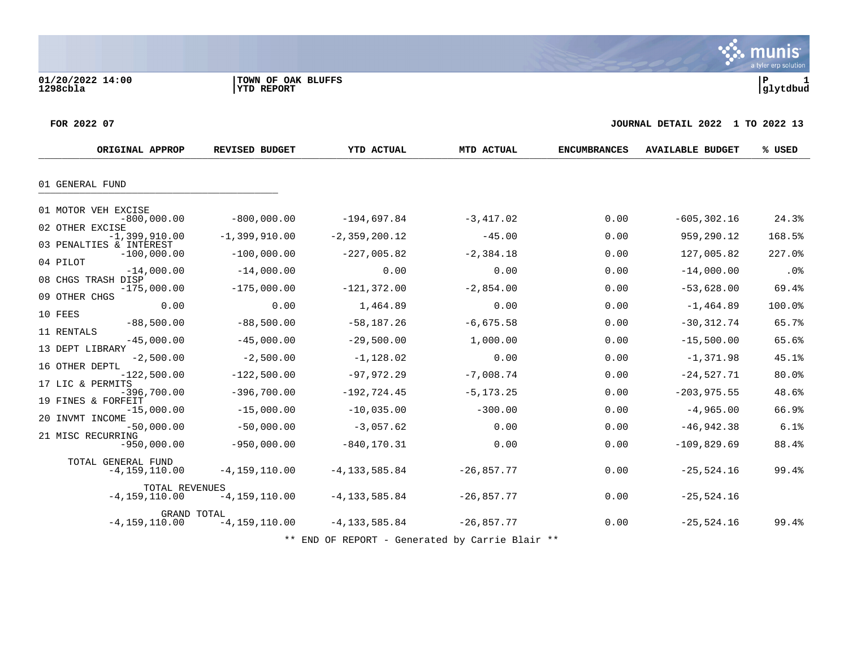munis a tyler erp solution

#### **FOR 2022 07 JOURNAL DETAIL 2022 1 TO 2022 13**

| ORIGINAL APPROP                          | <b>REVISED BUDGET</b>            | <b>YTD ACTUAL</b> | MTD ACTUAL   | <b>ENCUMBRANCES</b> | <b>AVAILABLE BUDGET</b> | % USED |
|------------------------------------------|----------------------------------|-------------------|--------------|---------------------|-------------------------|--------|
|                                          |                                  |                   |              |                     |                         |        |
| 01 GENERAL FUND                          |                                  |                   |              |                     |                         |        |
| 01 MOTOR VEH EXCISE                      |                                  |                   |              |                     |                         |        |
| $-800,000.00$<br>02 OTHER EXCISE         | $-800,000.00$                    | $-194,697.84$     | $-3,417.02$  | 0.00                | $-605, 302.16$          | 24.3%  |
| $-1,399,910.00$                          | $-1,399,910.00$                  | $-2, 359, 200.12$ | $-45.00$     | 0.00                | 959,290.12              | 168.5% |
| 03 PENALTIES & INTEREST<br>$-100,000.00$ | $-100,000.00$                    | $-227,005.82$     | $-2, 384.18$ | 0.00                | 127,005.82              | 227.0% |
| 04 PILOT<br>$-14,000.00$                 | $-14,000.00$                     | 0.00              | 0.00         | 0.00                | $-14,000.00$            | .0%    |
| 08 CHGS TRASH DISP                       |                                  |                   |              |                     |                         |        |
| $-175,000.00$<br>09 OTHER CHGS           | $-175,000.00$                    | $-121, 372.00$    | $-2,854.00$  | 0.00                | $-53,628.00$            | 69.4%  |
| 0.00<br>10 FEES                          | 0.00                             | 1,464.89          | 0.00         | 0.00                | $-1, 464.89$            | 100.0% |
| $-88,500.00$                             | $-88,500.00$                     | $-58, 187.26$     | $-6,675.58$  | 0.00                | $-30, 312.74$           | 65.7%  |
| 11 RENTALS<br>$-45,000.00$               | $-45,000.00$                     | $-29,500.00$      | 1,000.00     | 0.00                | $-15,500.00$            | 65.6%  |
| 13 DEPT LIBRARY<br>$-2,500.00$           | $-2,500.00$                      | $-1,128.02$       | 0.00         | 0.00                | $-1,371.98$             | 45.1%  |
| 16 OTHER DEPTL<br>$-122,500.00$          | $-122,500.00$                    | $-97, 972.29$     | $-7,008.74$  | 0.00                | $-24,527.71$            | 80.0%  |
| 17 LIC & PERMITS<br>$-396,700.00$        | $-396,700.00$                    | $-192, 724.45$    | $-5, 173.25$ | 0.00                | $-203, 975.55$          | 48.6%  |
| 19 FINES & FORFEIT<br>$-15,000.00$       | $-15,000.00$                     | $-10,035.00$      | $-300.00$    | 0.00                | $-4,965.00$             | 66.9%  |
| 20 INVMT INCOME<br>$-50,000.00$          | $-50,000.00$                     | $-3,057.62$       | 0.00         | 0.00                | $-46,942.38$            | 6.1%   |
| 21 MISC RECURRING<br>$-950,000.00$       | $-950,000.00$                    | $-840, 170.31$    | 0.00         | 0.00                | $-109,829.69$           | 88.4%  |
| TOTAL GENERAL FUND<br>$-4, 159, 110.00$  | $-4, 159, 110.00$                | $-4, 133, 585.84$ | $-26,857.77$ | 0.00                | $-25, 524.16$           | 99.4%  |
| TOTAL REVENUES<br>$-4, 159, 110.00$      | $-4, 159, 110.00$                | $-4, 133, 585.84$ | $-26,857.77$ | 0.00                | $-25,524.16$            |        |
| $-4, 159, 110.00$                        | GRAND TOTAL<br>$-4, 159, 110.00$ | $-4, 133, 585.84$ | $-26,857.77$ | 0.00                | $-25,524.16$            | 99.4%  |

\*\* END OF REPORT - Generated by Carrie Blair \*\*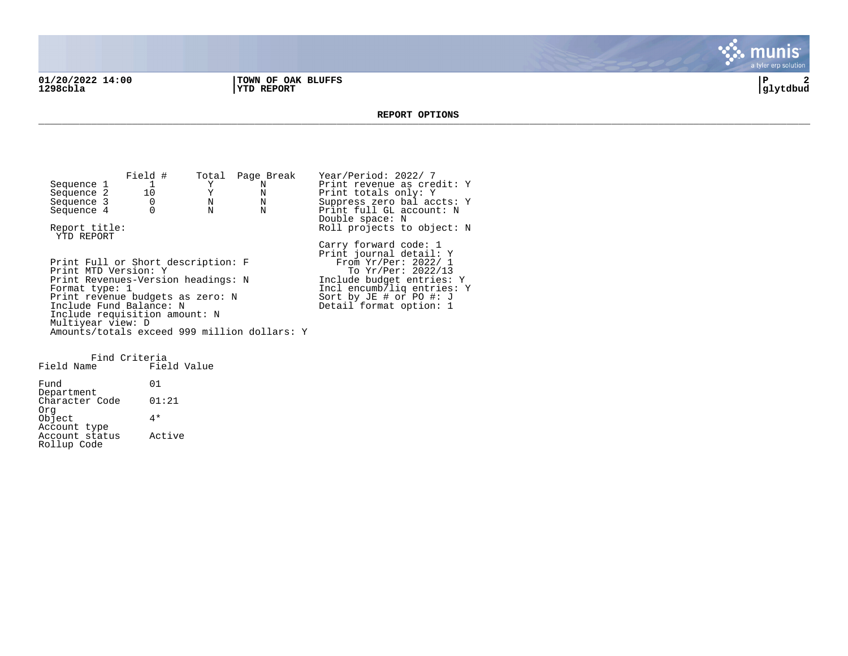**01/20/2022 14:00 |TOWN OF OAK BLUFFS |P 2**

**1298cbla |YTD REPORT |glytdbud**



**REPORT OPTIONS**  \_\_\_\_\_\_\_\_\_\_\_\_\_\_\_\_\_\_\_\_\_\_\_\_\_\_\_\_\_\_\_\_\_\_\_\_\_\_\_\_\_\_\_\_\_\_\_\_\_\_\_\_\_\_\_\_\_\_\_\_\_\_\_\_\_\_\_\_\_\_\_\_\_\_\_\_\_\_\_\_\_\_\_\_\_\_\_\_\_\_\_\_\_\_\_\_\_\_\_\_\_\_\_\_\_\_\_\_\_\_\_\_\_\_\_\_\_\_\_\_\_\_\_\_\_\_\_\_\_\_\_\_

Field # Total Page Break Year/Period: 2022/ 7<br>
1 Y N Print revenue as cree Sequence 1 1 Y N Print revenue as credit: Y<br>Sequence 2 10 Y N Print totals only: Y Sequence 2 10 Y N Print totals only: Y<br>Sequence 3 0 N N Suppress zero balaco Sequence 3 0 0 N N Suppress zero bal accts: Y<br>Sequence 4 0 N N Print full GL account: N Print full GL account: N Double space: N Report title:  $Rol1$  projects to object: N YTD REPORT Carry forward code: 1 Print journal detail: Y Print Full or Short description: F<br>Print MTD Version: Y Print MTD Version: Y The Second To Yr/Per: 2022/13 Print Revenues-Version headings: N 1nclude budget entries: Y<br>Format type: 1 1ncl encumb/liq entries: Incl encumb/liq entries: Y<br>Sort by JE # or PO #: J Print revenue budgets as zero: N Sort by JE # or PO #: J Include Fund Balance: N New York Beasing Detail format option: 1 Include requisition amount: N Multiyear view: D Amounts/totals exceed 999 million dollars: Y

Find Criteria Field Name Fund 01 Department Character Code 01:21 Org Object 4\* Account type Account status Active Rollup Code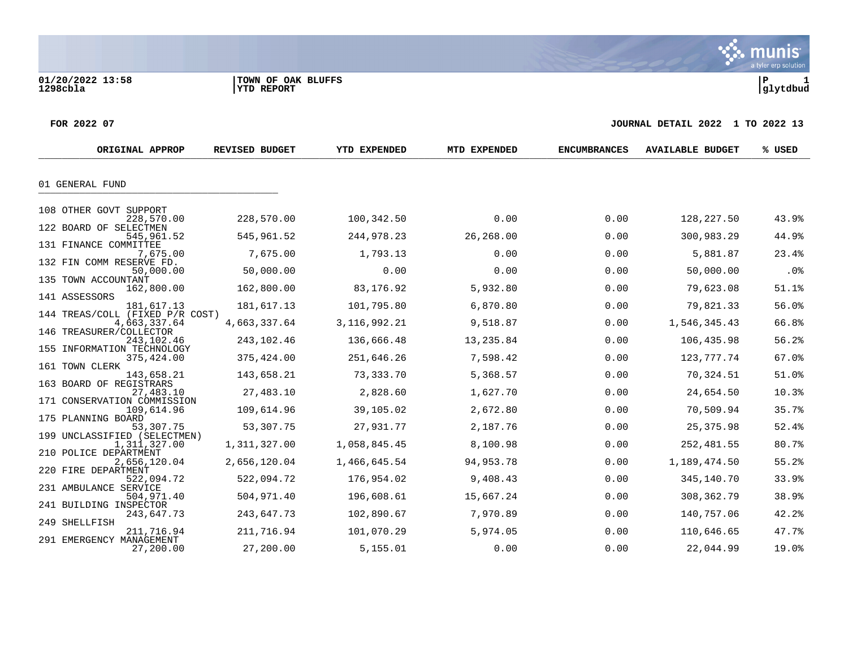**01/20/2022 13:58 |TOWN OF OAK BLUFFS |P 1**

a tyler erp solution

 $\ddot{\mathbf{w}}$  munis

#### **FOR 2022 07 JOURNAL DETAIL 2022 1 TO 2022 13**

| ORIGINAL APPROP                               | <b>REVISED BUDGET</b> | YTD EXPENDED    | MTD EXPENDED | <b>ENCUMBRANCES</b> | <b>AVAILABLE BUDGET</b> | % USED |
|-----------------------------------------------|-----------------------|-----------------|--------------|---------------------|-------------------------|--------|
|                                               |                       |                 |              |                     |                         |        |
| 01 GENERAL FUND                               |                       |                 |              |                     |                         |        |
| 108 OTHER GOVT SUPPORT                        |                       |                 |              |                     |                         |        |
| 228,570.00                                    | 228,570.00            | 100,342.50      | 0.00         | 0.00                | 128,227.50              | 43.9%  |
| 122 BOARD OF SELECTMEN<br>545,961.52          | 545,961.52            | 244,978.23      | 26,268.00    | 0.00                | 300,983.29              | 44.9%  |
| 131 FINANCE COMMITTEE<br>7,675.00             | 7,675.00              | 1,793.13        | 0.00         | 0.00                | 5,881.87                | 23.4%  |
| 132 FIN COMM RESERVE FD.<br>50,000.00         | 50,000.00             | 0.00            | 0.00         | 0.00                | 50,000.00               | .0%    |
| 135 TOWN ACCOUNTANT                           |                       |                 |              |                     |                         |        |
| 162,800.00<br>141 ASSESSORS                   | 162,800.00            | 83,176.92       | 5,932.80     | 0.00                | 79,623.08               | 51.1%  |
| 181,617.13<br>144 TREAS/COLL (FIXED P/R COST) | 181,617.13            | 101,795.80      | 6,870.80     | 0.00                | 79,821.33               | 56.0%  |
| 4,663,337.64                                  | 4,663,337.64          | 3, 116, 992. 21 | 9,518.87     | 0.00                | 1,546,345.43            | 66.8%  |
| 146 TREASURER/COLLECTOR<br>243,102.46         | 243,102.46            | 136,666.48      | 13,235.84    | 0.00                | 106,435.98              | 56.2%  |
| 155 INFORMATION TECHNOLOGY<br>375,424.00      | 375,424.00            | 251,646.26      | 7,598.42     | 0.00                | 123, 777. 74            | 67.0%  |
| 161 TOWN CLERK<br>143,658.21                  | 143,658.21            | 73,333.70       | 5,368.57     | 0.00                | 70,324.51               | 51.0%  |
| 163 BOARD OF REGISTRARS<br>27,483.10          | 27,483.10             | 2,828.60        | 1,627.70     | 0.00                | 24,654.50               | 10.3%  |
| 171 CONSERVATION COMMISSION                   |                       |                 |              |                     |                         |        |
| 109,614.96<br>175 PLANNING BOARD              | 109,614.96            | 39,105.02       | 2,672.80     | 0.00                | 70,509.94               | 35.7%  |
| 53,307.75<br>199 UNCLASSIFIED (SELECTMEN)     | 53,307.75             | 27,931.77       | 2,187.76     | 0.00                | 25, 375.98              | 52.4%  |
| 1,311,327.00                                  | 1,311,327.00          | 1,058,845.45    | 8,100.98     | 0.00                | 252,481.55              | 80.7%  |
| 210 POLICE DEPARTMENT<br>2,656,120.04         | 2,656,120.04          | 1,466,645.54    | 94, 953. 78  | 0.00                | 1,189,474.50            | 55.2%  |
| 220 FIRE DEPARTMENT<br>522,094.72             | 522,094.72            | 176,954.02      | 9,408.43     | 0.00                | 345,140.70              | 33.9%  |
| 231 AMBULANCE SERVICE<br>504,971.40           | 504,971.40            | 196,608.61      | 15,667.24    | 0.00                | 308, 362. 79            | 38.9%  |
| 241 BUILDING INSPECTOR                        |                       |                 |              |                     |                         |        |
| 243,647.73<br>249 SHELLFISH                   | 243,647.73            | 102,890.67      | 7,970.89     | 0.00                | 140,757.06              | 42.2%  |
| 211,716.94<br>291 EMERGENCY MANAGEMENT        | 211,716.94            | 101,070.29      | 5,974.05     | 0.00                | 110,646.65              | 47.7%  |
| 27,200.00                                     | 27,200.00             | 5,155.01        | 0.00         | 0.00                | 22,044.99               | 19.0%  |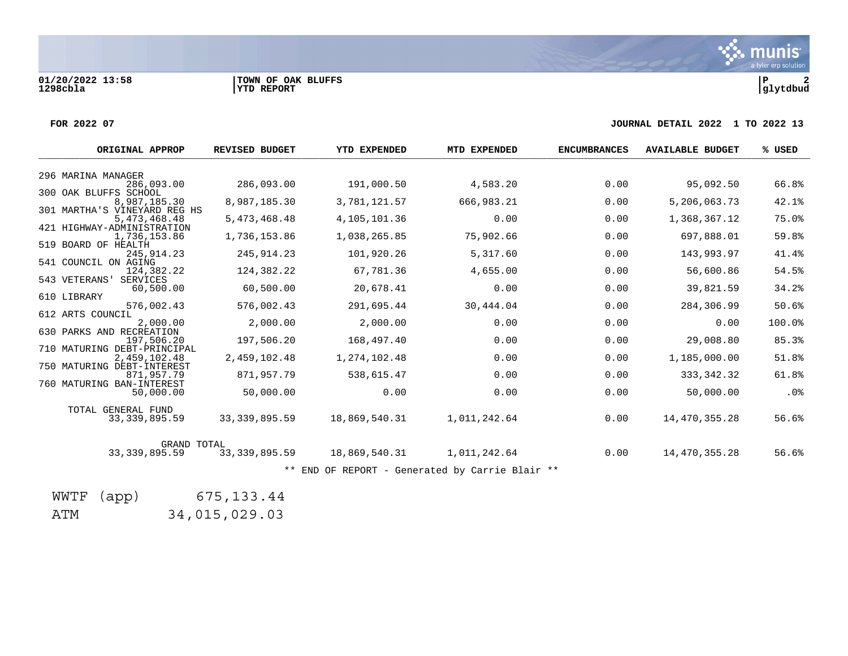**01/20/2022 13:58 |TOWN OF OAK BLUFFS |P 2**

#### **FOR 2022 07 JOURNAL DETAIL 2022 1 TO 2022 13**

| ORIGINAL APPROP                              | <b>REVISED BUDGET</b> | <b>YTD EXPENDED</b> | MTD EXPENDED                                    | <b>ENCUMBRANCES</b> | <b>AVAILABLE BUDGET</b> | % USED |
|----------------------------------------------|-----------------------|---------------------|-------------------------------------------------|---------------------|-------------------------|--------|
| 296 MARINA MANAGER                           |                       |                     |                                                 |                     |                         |        |
| 286,093.00<br>300 OAK BLUFFS SCHOOL          | 286,093.00            | 191,000.50          | 4,583.20                                        | 0.00                | 95,092.50               | 66.8%  |
| 8,987,185.30                                 | 8,987,185.30          | 3,781,121.57        | 666,983.21                                      | 0.00                | 5,206,063.73            | 42.1%  |
| 301 MARTHA'S VINEYARD REG HS<br>5,473,468.48 | 5,473,468.48          | 4,105,101.36        | 0.00                                            | 0.00                | 1,368,367.12            | 75.0%  |
| 421 HIGHWAY-ADMINISTRATION<br>1,736,153.86   | 1,736,153.86          | 1,038,265.85        | 75,902.66                                       | 0.00                | 697,888.01              | 59.8%  |
| 519 BOARD OF HEALTH<br>245, 914. 23          | 245, 914.23           | 101,920.26          | 5,317.60                                        | 0.00                | 143,993.97              | 41.4%  |
| 541 COUNCIL ON AGING                         |                       |                     |                                                 |                     |                         |        |
| 124,382.22<br>543 VETERANS'<br>SERVICES      | 124,382.22            | 67,781.36           | 4,655.00                                        | 0.00                | 56,600.86               | 54.5%  |
| 60,500.00<br>610 LIBRARY                     | 60,500.00             | 20,678.41           | 0.00                                            | 0.00                | 39,821.59               | 34.2%  |
| 576,002.43                                   | 576,002.43            | 291,695.44          | 30,444.04                                       | 0.00                | 284,306.99              | 50.6%  |
| 612 ARTS COUNCIL<br>2,000.00                 | 2,000.00              | 2,000.00            | 0.00                                            | 0.00                | 0.00                    | 100.0% |
| 630 PARKS AND RECREATION<br>197.506.20       | 197,506.20            | 168,497.40          | 0.00                                            | 0.00                | 29,008.80               | 85.3%  |
| 710 MATURING DEBT-PRINCIPAL<br>2,459,102.48  | 2,459,102.48          | 1,274,102.48        | 0.00                                            | 0.00                | 1,185,000.00            | 51.8%  |
| 750 MATURING DEBT-INTEREST                   |                       |                     |                                                 |                     |                         |        |
| 871,957.79<br>760 MATURING BAN-INTEREST      | 871,957.79            | 538,615.47          | 0.00                                            | 0.00                | 333, 342. 32            | 61.8%  |
| 50,000.00                                    | 50,000.00             | 0.00                | 0.00                                            | 0.00                | 50,000.00               | .0%    |
| TOTAL GENERAL FUND<br>33, 339, 895.59        | 33, 339, 895.59       | 18,869,540.31       | 1,011,242.64                                    | 0.00                | 14,470,355.28           | 56.6%  |
| <b>GRAND TOTAL</b><br>33, 339, 895.59        | 33, 339, 895.59       | 18,869,540.31       | 1,011,242.64                                    | 0.00                | 14,470,355.28           | 56.6%  |
|                                              |                       |                     | ** END OF REPORT - Generated by Carrie Blair ** |                     |                         |        |

WWTF (app) 675,133.44

ATM 34,015,029.03

munis a tyler erp solution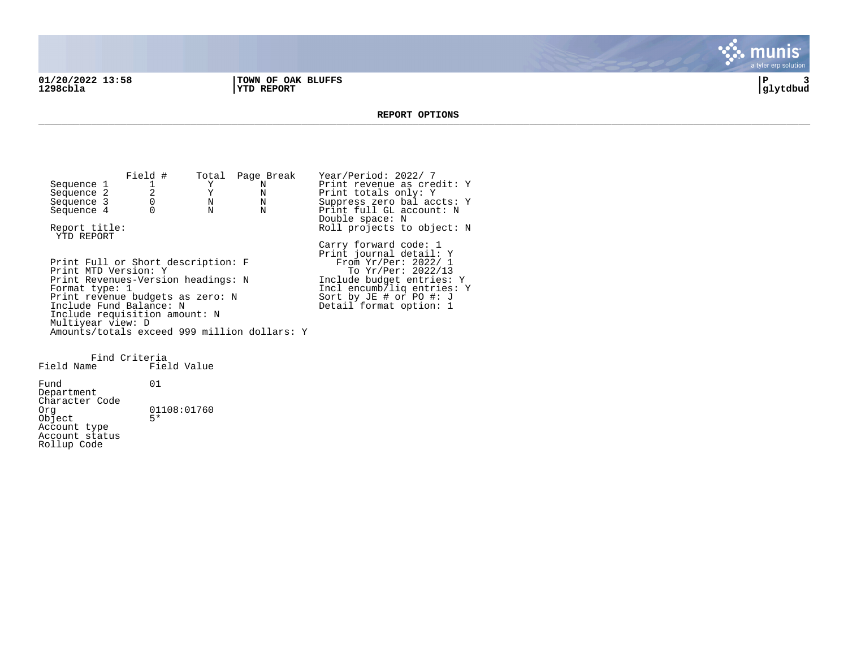**01/20/2022 13:58 |TOWN OF OAK BLUFFS |P 3 1298cbla |YTD REPORT |glytdbud**



#### **REPORT OPTIONS**  \_\_\_\_\_\_\_\_\_\_\_\_\_\_\_\_\_\_\_\_\_\_\_\_\_\_\_\_\_\_\_\_\_\_\_\_\_\_\_\_\_\_\_\_\_\_\_\_\_\_\_\_\_\_\_\_\_\_\_\_\_\_\_\_\_\_\_\_\_\_\_\_\_\_\_\_\_\_\_\_\_\_\_\_\_\_\_\_\_\_\_\_\_\_\_\_\_\_\_\_\_\_\_\_\_\_\_\_\_\_\_\_\_\_\_\_\_\_\_\_\_\_\_\_\_\_\_\_\_\_\_\_

Field # Total Page Break Year/Period: 2022/ 7<br>1 Y N Print revenue as cree Sequence 1 1 1 Y N Print revenue as credit: Y<br>
Sequence 2 2 Y N Print totals only: Y Sequence 2 2 2 Y N Print totals only: Y<br>Sequence 3 0 N N Suppress zero bal acc Sequence 3 0 0 N N Suppress zero bal accts: Y<br>Sequence 4 0 N N Print full GL account: N Print full GL account: N Double space: N Report title:  $Rol1$  projects to object: N YTD REPORT Carry forward code: 1 Print journal detail: Y Print Full or Short description: F<br>Print MTD Version: Y Print MTD Version: Y The Second To Yr/Per: 2022/13 Print Revenues-Version headings: N 1nclude budget entries: Y<br>Format type: 1 1ncl encumb/liq entries: Incl encumb/liq entries: Y<br>Sort by JE # or PO #: J Print revenue budgets as zero: N Sort by JE # or PO #: J Include Fund Balance: N New York Beasing Detail format option: 1 Include requisition amount: N Multiyear view: D Amounts/totals exceed 999 million dollars: Y

Find Criteria Field Name Fund 01 Department Character Code<br>Org  $01108:01760$  $Object$ Account type Account status Rollup Code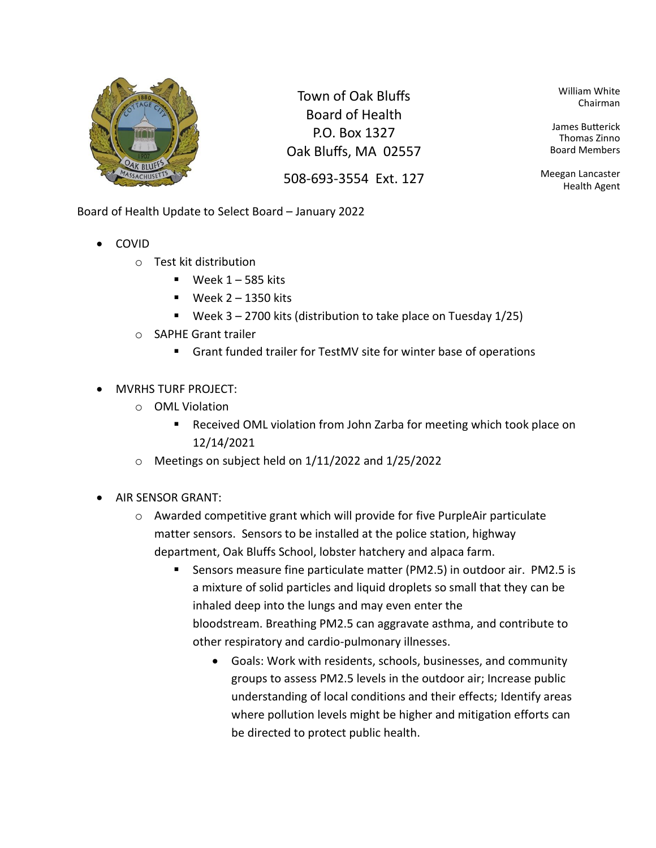

Town of Oak Bluffs Board of Health P.O. Box 1327 Oak Bluffs, MA 02557

508-693-3554 Ext. 127

William White Chairman

James Butterick Thomas Zinno Board Members

Meegan Lancaster Health Agent

Board of Health Update to Select Board – January 2022

- COVID
	- o Test kit distribution
		- $\blacksquare$  Week 1 585 kits
		- $\blacksquare$  Week 2 1350 kits
		- **•** Week  $3 2700$  kits (distribution to take place on Tuesday  $1/25$ )
	- o SAPHE Grant trailer
		- Grant funded trailer for TestMV site for winter base of operations
- MVRHS TURF PROJECT:
	- o OML Violation
		- Received OML violation from John Zarba for meeting which took place on 12/14/2021
	- o Meetings on subject held on 1/11/2022 and 1/25/2022
- AIR SENSOR GRANT:
	- o Awarded competitive grant which will provide for five PurpleAir particulate matter sensors. Sensors to be installed at the police station, highway department, Oak Bluffs School, lobster hatchery and alpaca farm.
		- Sensors measure fine particulate matter (PM2.5) in outdoor air. PM2.5 is a mixture of solid particles and liquid droplets so small that they can be inhaled deep into the lungs and may even enter the bloodstream. Breathing PM2.5 can aggravate asthma, and contribute to other respiratory and cardio-pulmonary illnesses.
			- Goals: Work with residents, schools, businesses, and community groups to assess PM2.5 levels in the outdoor air; Increase public understanding of local conditions and their effects; Identify areas where pollution levels might be higher and mitigation efforts can be directed to protect public health.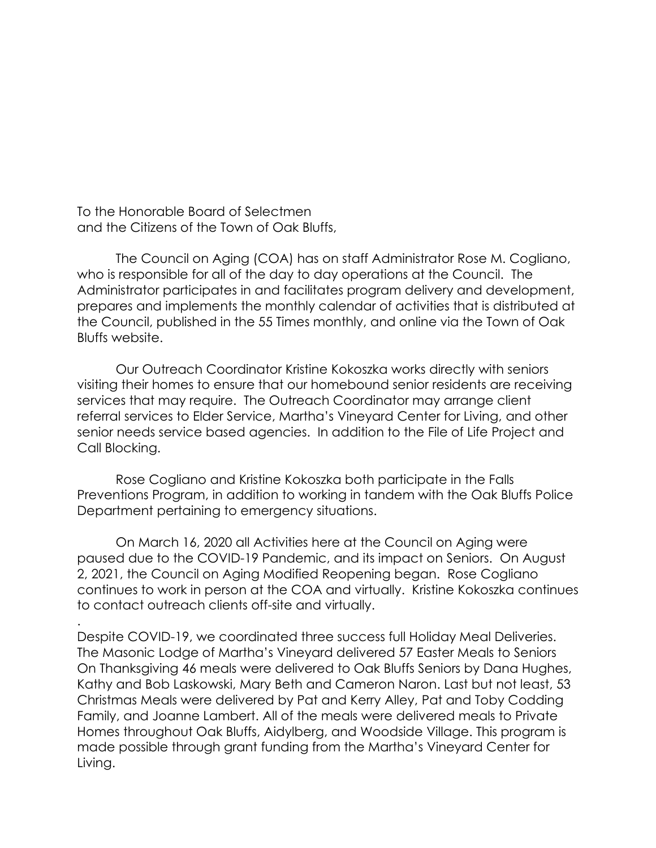To the Honorable Board of Selectmen and the Citizens of the Town of Oak Bluffs,

.

The Council on Aging (COA) has on staff Administrator Rose M. Cogliano, who is responsible for all of the day to day operations at the Council. The Administrator participates in and facilitates program delivery and development, prepares and implements the monthly calendar of activities that is distributed at the Council, published in the 55 Times monthly, and online via the Town of Oak Bluffs website.

Our Outreach Coordinator Kristine Kokoszka works directly with seniors visiting their homes to ensure that our homebound senior residents are receiving services that may require. The Outreach Coordinator may arrange client referral services to Elder Service, Martha's Vineyard Center for Living, and other senior needs service based agencies. In addition to the File of Life Project and Call Blocking.

Rose Cogliano and Kristine Kokoszka both participate in the Falls Preventions Program, in addition to working in tandem with the Oak Bluffs Police Department pertaining to emergency situations.

On March 16, 2020 all Activities here at the Council on Aging were paused due to the COVID-19 Pandemic, and its impact on Seniors. On August 2, 2021, the Council on Aging Modified Reopening began. Rose Cogliano continues to work in person at the COA and virtually. Kristine Kokoszka continues to contact outreach clients off-site and virtually.

Despite COVID-19, we coordinated three success full Holiday Meal Deliveries. The Masonic Lodge of Martha's Vineyard delivered 57 Easter Meals to Seniors On Thanksgiving 46 meals were delivered to Oak Bluffs Seniors by Dana Hughes, Kathy and Bob Laskowski, Mary Beth and Cameron Naron. Last but not least, 53 Christmas Meals were delivered by Pat and Kerry Alley, Pat and Toby Codding Family, and Joanne Lambert. All of the meals were delivered meals to Private Homes throughout Oak Bluffs, Aidylberg, and Woodside Village. This program is made possible through grant funding from the Martha's Vineyard Center for Living.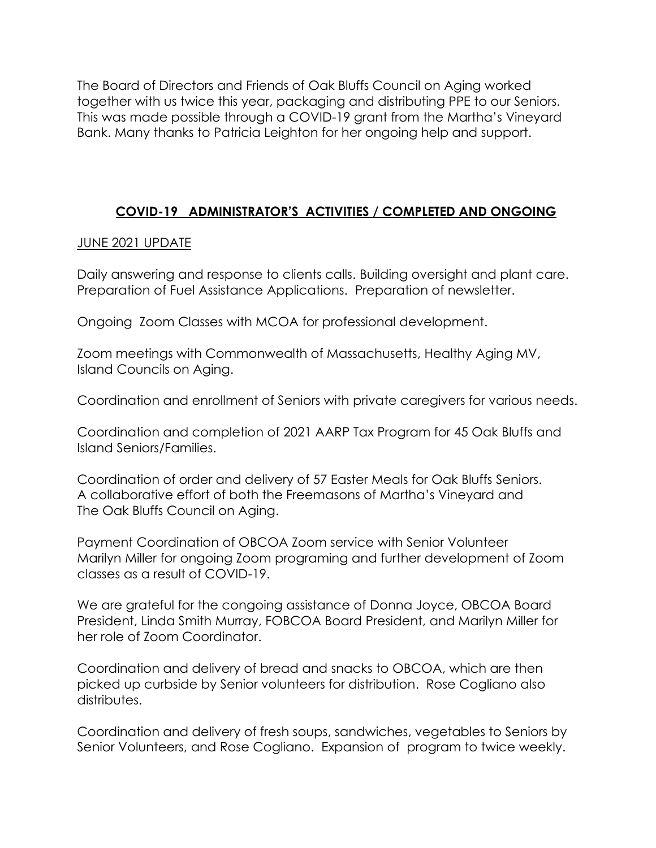The Board of Directors and Friends of Oak Bluffs Council on Aging worked together with us twice this year, packaging and distributing PPE to our Seniors. This was made possible through a COVID-19 grant from the Martha's Vineyard Bank. Many thanks to Patricia Leighton for her ongoing help and support.

## **COVID-19 ADMINISTRATOR'S ACTIVITIES / COMPLETED AND ONGOING**

### JUNE 2021 UPDATE

Daily answering and response to clients calls. Building oversight and plant care. Preparation of Fuel Assistance Applications. Preparation of newsletter.

Ongoing Zoom Classes with MCOA for professional development.

Zoom meetings with Commonwealth of Massachusetts, Healthy Aging MV, Island Councils on Aging.

Coordination and enrollment of Seniors with private caregivers for various needs.

Coordination and completion of 2021 AARP Tax Program for 45 Oak Bluffs and Island Seniors/Families.

Coordination of order and delivery of 57 Easter Meals for Oak Bluffs Seniors. A collaborative effort of both the Freemasons of Martha's Vineyard and The Oak Bluffs Council on Aging.

Payment Coordination of OBCOA Zoom service with Senior Volunteer Marilyn Miller for ongoing Zoom programing and further development of Zoom classes as a result of COVID-19.

We are grateful for the congoing assistance of Donna Joyce, OBCOA Board President, Linda Smith Murray, FOBCOA Board President, and Marilyn Miller for her role of Zoom Coordinator.

Coordination and delivery of bread and snacks to OBCOA, which are then picked up curbside by Senior volunteers for distribution. Rose Cogliano also distributes.

Coordination and delivery of fresh soups, sandwiches, vegetables to Seniors by Senior Volunteers, and Rose Cogliano. Expansion of program to twice weekly.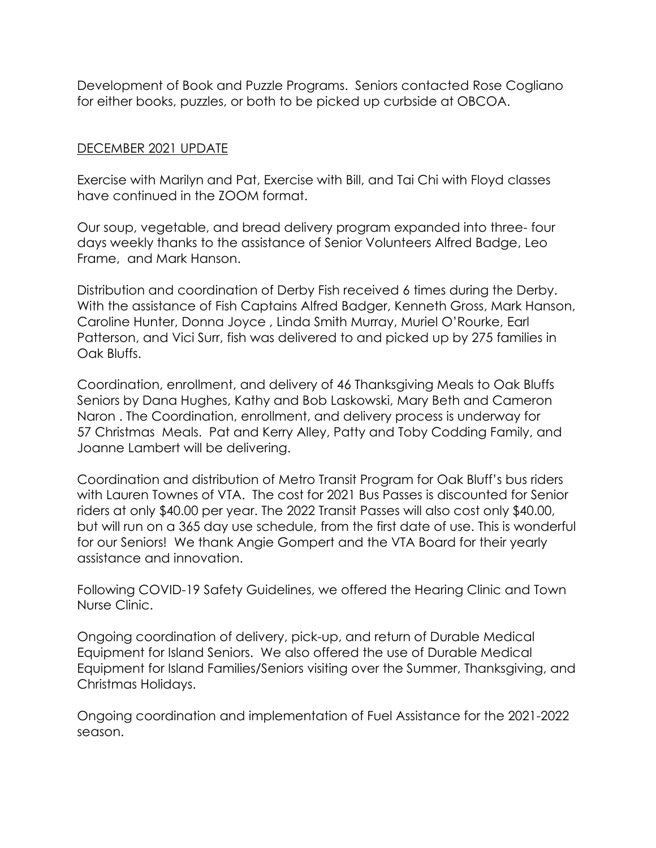Development of Book and Puzzle Programs. Seniors contacted Rose Cogliano for either books, puzzles, or both to be picked up curbside at OBCOA.

## DECEMBER 2021 UPDATE

Exercise with Marilyn and Pat, Exercise with Bill, and Tai Chi with Floyd classes have continued in the ZOOM format.

Our soup, vegetable, and bread delivery program expanded into three- four days weekly thanks to the assistance of Senior Volunteers Alfred Badge, Leo Frame, and Mark Hanson.

Distribution and coordination of Derby Fish received 6 times during the Derby. With the assistance of Fish Captains Alfred Badger, Kenneth Gross, Mark Hanson, Caroline Hunter, Donna Joyce , Linda Smith Murray, Muriel O'Rourke, Earl Patterson, and Vici Surr, fish was delivered to and picked up by 275 families in Oak Bluffs.

Coordination, enrollment, and delivery of 46 Thanksgiving Meals to Oak Bluffs Seniors by Dana Hughes, Kathy and Bob Laskowski, Mary Beth and Cameron Naron . The Coordination, enrollment, and delivery process is underway for 57 Christmas Meals. Pat and Kerry Alley, Patty and Toby Codding Family, and Joanne Lambert will be delivering.

Coordination and distribution of Metro Transit Program for Oak Bluff's bus riders with Lauren Townes of VTA. The cost for 2021 Bus Passes is discounted for Senior riders at only \$40.00 per year. The 2022 Transit Passes will also cost only \$40.00, but will run on a 365 day use schedule, from the first date of use. This is wonderful for our Seniors! We thank Angie Gompert and the VTA Board for their yearly assistance and innovation.

Following COVID-19 Safety Guidelines, we offered the Hearing Clinic and Town Nurse Clinic.

Ongoing coordination of delivery, pick-up, and return of Durable Medical Equipment for Island Seniors. We also offered the use of Durable Medical Equipment for Island Families/Seniors visiting over the Summer, Thanksgiving, and Christmas Holidays.

Ongoing coordination and implementation of Fuel Assistance for the 2021-2022 season.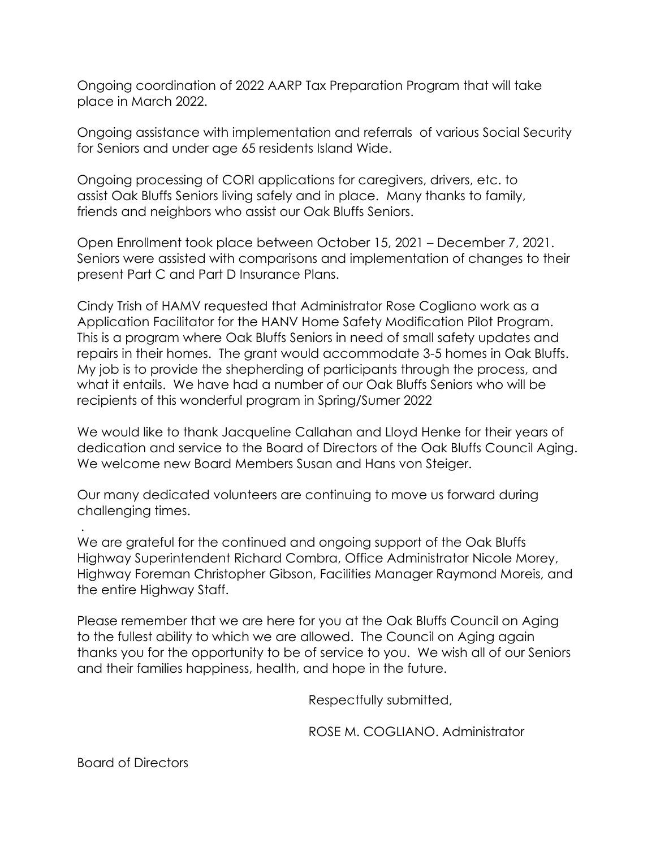Ongoing coordination of 2022 AARP Tax Preparation Program that will take place in March 2022.

Ongoing assistance with implementation and referrals of various Social Security for Seniors and under age 65 residents Island Wide.

Ongoing processing of CORI applications for caregivers, drivers, etc. to assist Oak Bluffs Seniors living safely and in place. Many thanks to family, friends and neighbors who assist our Oak Bluffs Seniors.

Open Enrollment took place between October 15, 2021 – December 7, 2021. Seniors were assisted with comparisons and implementation of changes to their present Part C and Part D Insurance Plans.

Cindy Trish of HAMV requested that Administrator Rose Cogliano work as a Application Facilitator for the HANV Home Safety Modification Pilot Program. This is a program where Oak Bluffs Seniors in need of small safety updates and repairs in their homes. The grant would accommodate 3-5 homes in Oak Bluffs. My job is to provide the shepherding of participants through the process, and what it entails. We have had a number of our Oak Bluffs Seniors who will be recipients of this wonderful program in Spring/Sumer 2022

We would like to thank Jacqueline Callahan and Lloyd Henke for their years of dedication and service to the Board of Directors of the Oak Bluffs Council Aging. We welcome new Board Members Susan and Hans von Steiger.

Our many dedicated volunteers are continuing to move us forward during challenging times.

We are grateful for the continued and ongoing support of the Oak Bluffs Highway Superintendent Richard Combra, Office Administrator Nicole Morey, Highway Foreman Christopher Gibson, Facilities Manager Raymond Moreis, and the entire Highway Staff.

Please remember that we are here for you at the Oak Bluffs Council on Aging to the fullest ability to which we are allowed. The Council on Aging again thanks you for the opportunity to be of service to you. We wish all of our Seniors and their families happiness, health, and hope in the future.

Respectfully submitted,

ROSE M. COGLIANO. Administrator

Board of Directors

.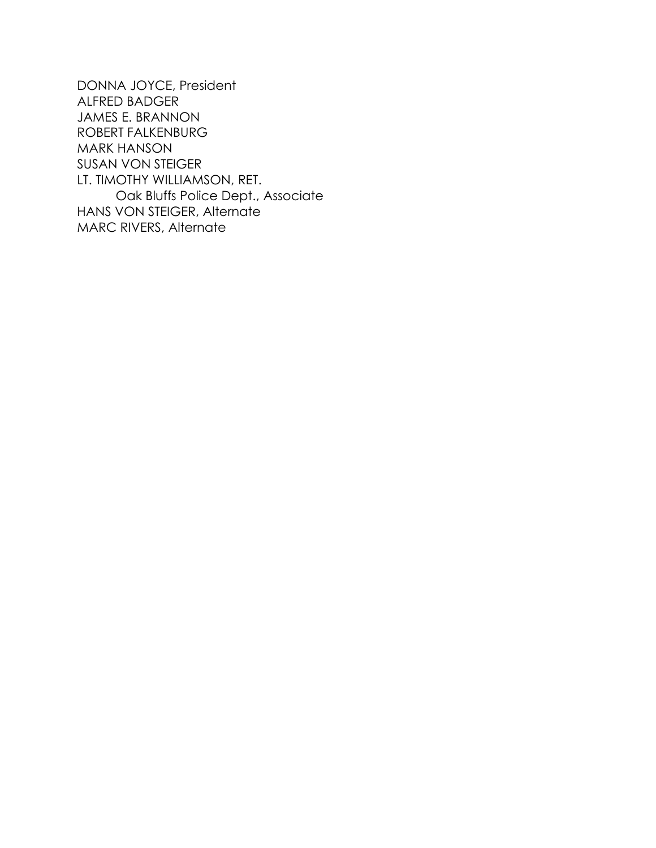DONNA JOYCE, President ALFRED BADGER JAMES E. BRANNON ROBERT FALKENBURG MARK HANSON SUSAN VON STEIGER LT. TIMOTHY WILLIAMSON, RET. Oak Bluffs Police Dept., Associate HANS VON STEIGER, Alternate MARC RIVERS, Alternate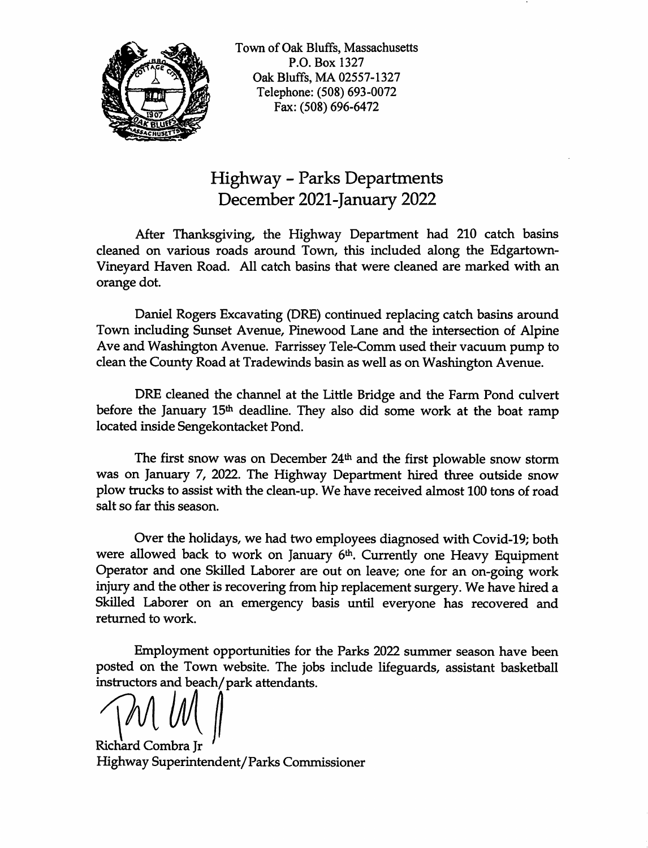

Town of Oak Bluffs, Massachusetts P.O. Box 1327 Oak Bluffs, MA 02557-1327 Telephone: (508) 693-0072 Fax: (508) 696-6472

## **Highway - Parks Departments** December 2021-January 2022

After Thanksgiving, the Highway Department had 210 catch basins cleaned on various roads around Town, this included along the Edgartown-Vineyard Haven Road. All catch basins that were cleaned are marked with an orange dot.

Daniel Rogers Excavating (DRE) continued replacing catch basins around Town including Sunset Avenue, Pinewood Lane and the intersection of Alpine Ave and Washington Avenue. Farrissey Tele-Comm used their vacuum pump to clean the County Road at Tradewinds basin as well as on Washington Avenue.

DRE cleaned the channel at the Little Bridge and the Farm Pond culvert before the January 15<sup>th</sup> deadline. They also did some work at the boat ramp located inside Sengekontacket Pond.

The first snow was on December 24<sup>th</sup> and the first plowable snow storm was on January 7, 2022. The Highway Department hired three outside snow plow trucks to assist with the clean-up. We have received almost 100 tons of road salt so far this season.

Over the holidays, we had two employees diagnosed with Covid-19; both were allowed back to work on January 6th. Currently one Heavy Equipment Operator and one Skilled Laborer are out on leave; one for an on-going work injury and the other is recovering from hip replacement surgery. We have hired a Skilled Laborer on an emergency basis until everyone has recovered and returned to work.

Employment opportunities for the Parks 2022 summer season have been posted on the Town website. The jobs include lifeguards, assistant basketball instructors and beach/park attendants.

Richard Combra Ir Highway Superintendent/Parks Commissioner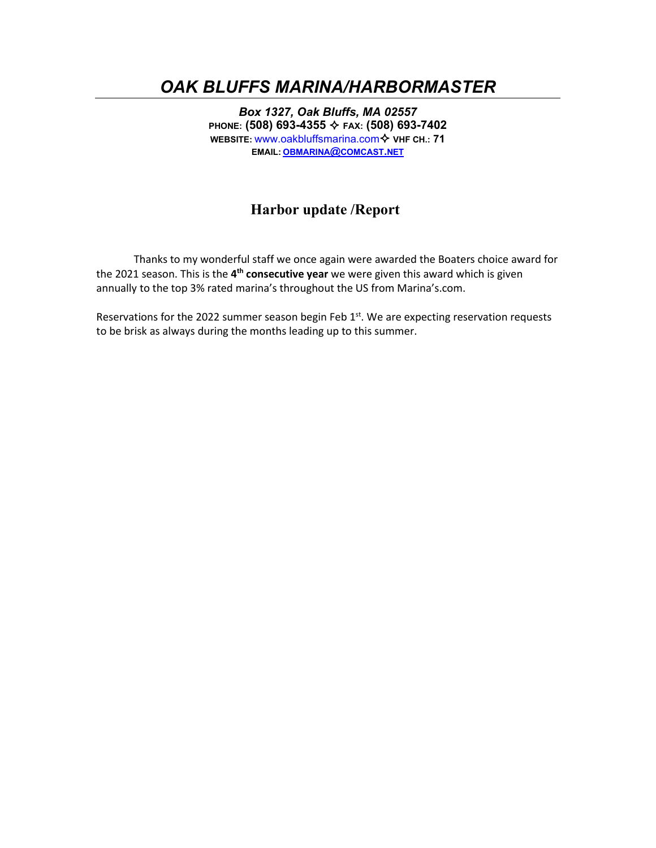## *OAK BLUFFS MARINA/HARBORMASTER*

*Box 1327, Oak Bluffs, MA 02557* **PHONE: (508) 693-4355 FAX: (508) 693-7402 WEBSITE:** www.oakbluffsmarina.com ♦ VHF CH: 71 **EMAIL: [OBMARINA@COMCAST.NET](mailto:obmarina@comcast.net)**

## **Harbor update /Report**

Thanks to my wonderful staff we once again were awarded the Boaters choice award for the 2021 season. This is the **4th consecutive year** we were given this award which is given annually to the top 3% rated marina's throughout the US from Marina's.com.

Reservations for the 2022 summer season begin Feb  $1<sup>st</sup>$ . We are expecting reservation requests to be brisk as always during the months leading up to this summer.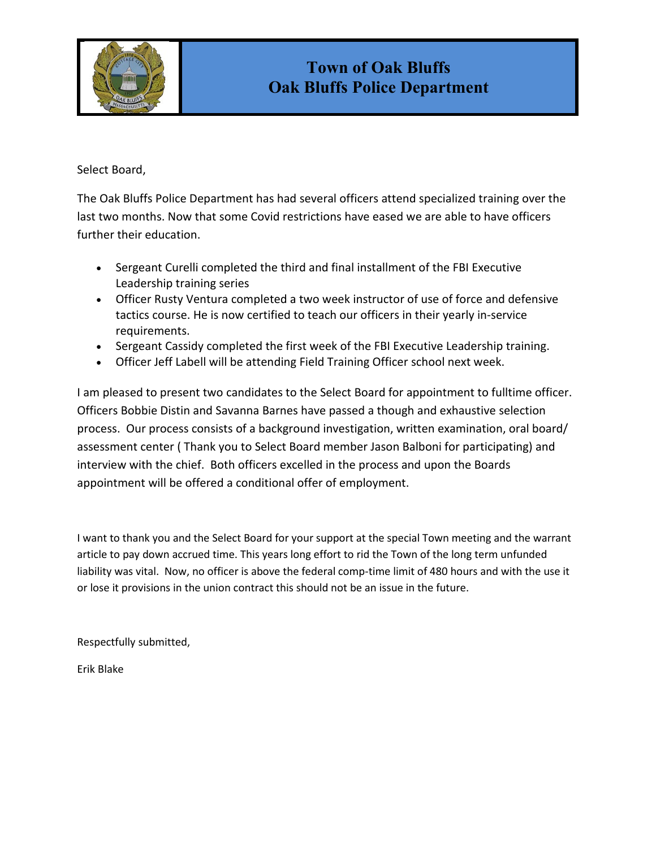

### Select Board,

The Oak Bluffs Police Department has had several officers attend specialized training over the last two months. Now that some Covid restrictions have eased we are able to have officers further their education.

- Sergeant Curelli completed the third and final installment of the FBI Executive Leadership training series
- Officer Rusty Ventura completed a two week instructor of use of force and defensive tactics course. He is now certified to teach our officers in their yearly in-service requirements.
- Sergeant Cassidy completed the first week of the FBI Executive Leadership training.
- Officer Jeff Labell will be attending Field Training Officer school next week.

I am pleased to present two candidates to the Select Board for appointment to fulltime officer. Officers Bobbie Distin and Savanna Barnes have passed a though and exhaustive selection process. Our process consists of a background investigation, written examination, oral board/ assessment center ( Thank you to Select Board member Jason Balboni for participating) and interview with the chief. Both officers excelled in the process and upon the Boards appointment will be offered a conditional offer of employment.

I want to thank you and the Select Board for your support at the special Town meeting and the warrant article to pay down accrued time. This years long effort to rid the Town of the long term unfunded liability was vital. Now, no officer is above the federal comp-time limit of 480 hours and with the use it or lose it provisions in the union contract this should not be an issue in the future.

Respectfully submitted,

Erik Blake